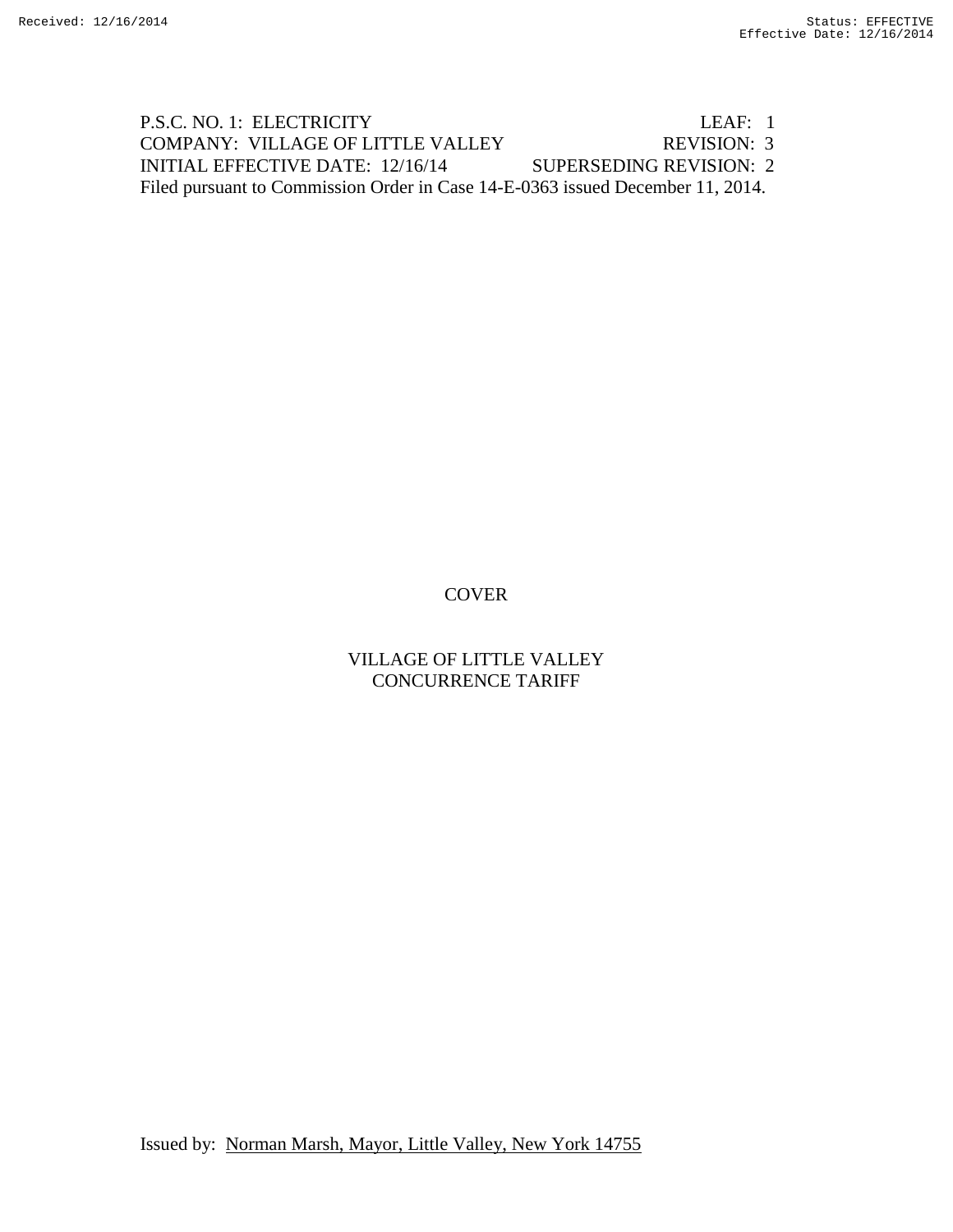P.S.C. NO. 1: ELECTRICITY LEAF: 1 COMPANY: VILLAGE OF LITTLE VALLEY REVISION: 3 INITIAL EFFECTIVE DATE: 12/16/14 SUPERSEDING REVISION: 2 Filed pursuant to Commission Order in Case 14-E-0363 issued December 11, 2014.

# **COVER**

# VILLAGE OF LITTLE VALLEY CONCURRENCE TARIFF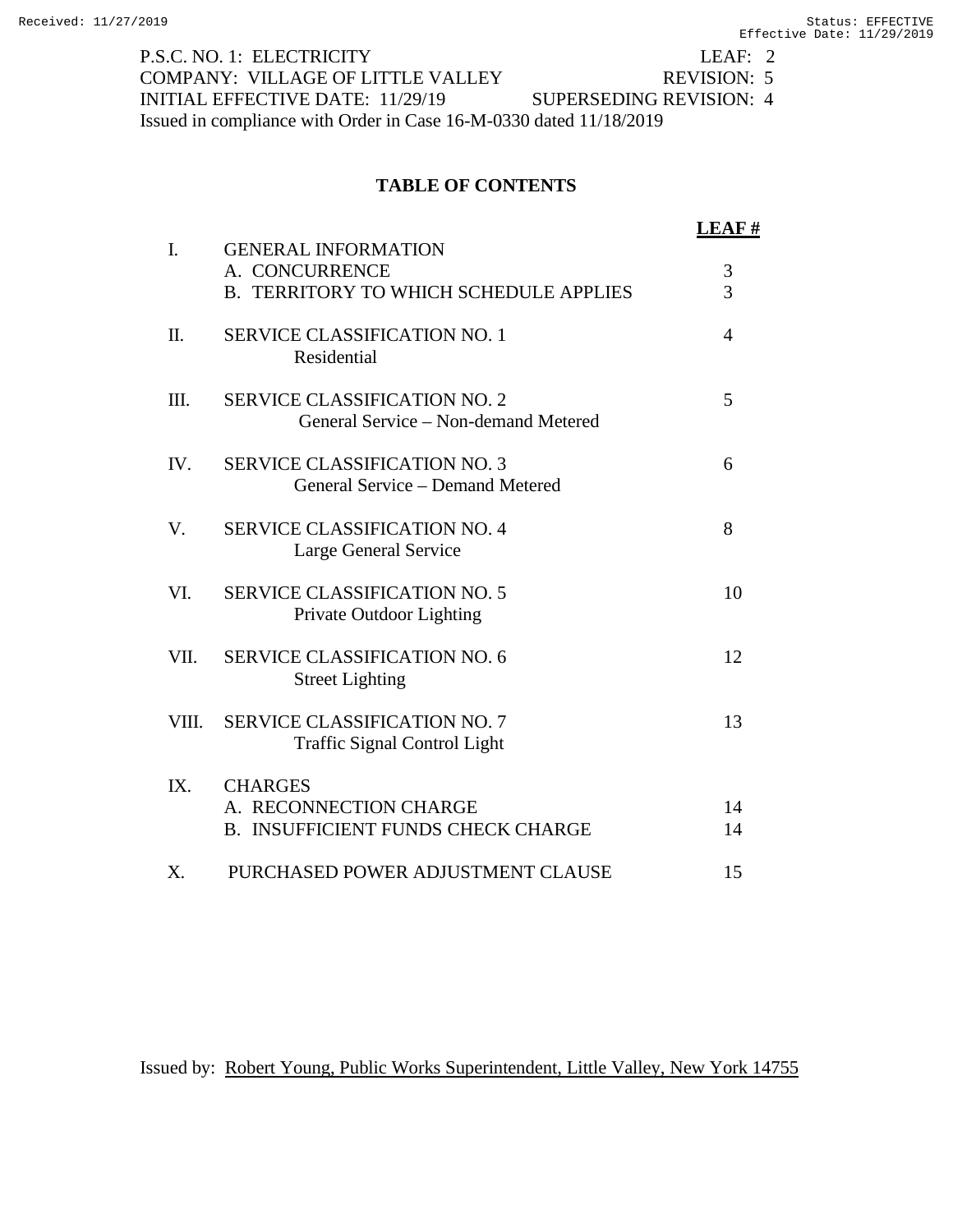P.S.C. NO. 1: ELECTRICITY LEAF: 2<br>
COMPANY: VILLAGE OF LITTLE VALLEY REVISION: 5 COMPANY: VILLAGE OF LITTLE VALLEY REVISION: 5<br>INITIAL EFFECTIVE DATE: 11/29/19 SUPERSEDING REVISION: 4 INITIAL EFFECTIVE DATE: 11/29/19 Issued in compliance with Order in Case 16-M-0330 dated 11/18/2019

# **TABLE OF CONTENTS**

| $\mathbf{I}$ . | <b>GENERAL INFORMATION</b>                                                            | <b>LEAF#</b>        |
|----------------|---------------------------------------------------------------------------------------|---------------------|
|                | A. CONCURRENCE<br><b>B. TERRITORY TO WHICH SCHEDULE APPLIES</b>                       | 3<br>$\overline{3}$ |
| Π.             | <b>SERVICE CLASSIFICATION NO. 1</b><br>Residential                                    | $\overline{4}$      |
| III.           | <b>SERVICE CLASSIFICATION NO. 2</b><br>General Service – Non-demand Metered           | 5                   |
| IV.            | <b>SERVICE CLASSIFICATION NO. 3</b><br>General Service – Demand Metered               | 6                   |
| V.             | <b>SERVICE CLASSIFICATION NO. 4</b><br>Large General Service                          | 8                   |
| VI.            | <b>SERVICE CLASSIFICATION NO. 5</b><br>Private Outdoor Lighting                       | 10                  |
| VII.           | <b>SERVICE CLASSIFICATION NO. 6</b><br><b>Street Lighting</b>                         | 12                  |
| VIII.          | <b>SERVICE CLASSIFICATION NO. 7</b><br><b>Traffic Signal Control Light</b>            | 13                  |
| IX.            | <b>CHARGES</b><br>A. RECONNECTION CHARGE<br><b>B. INSUFFICIENT FUNDS CHECK CHARGE</b> | 14<br>14            |
| X.             | PURCHASED POWER ADJUSTMENT CLAUSE                                                     | 15                  |

Issued by: Robert Young, Public Works Superintendent, Little Valley, New York 14755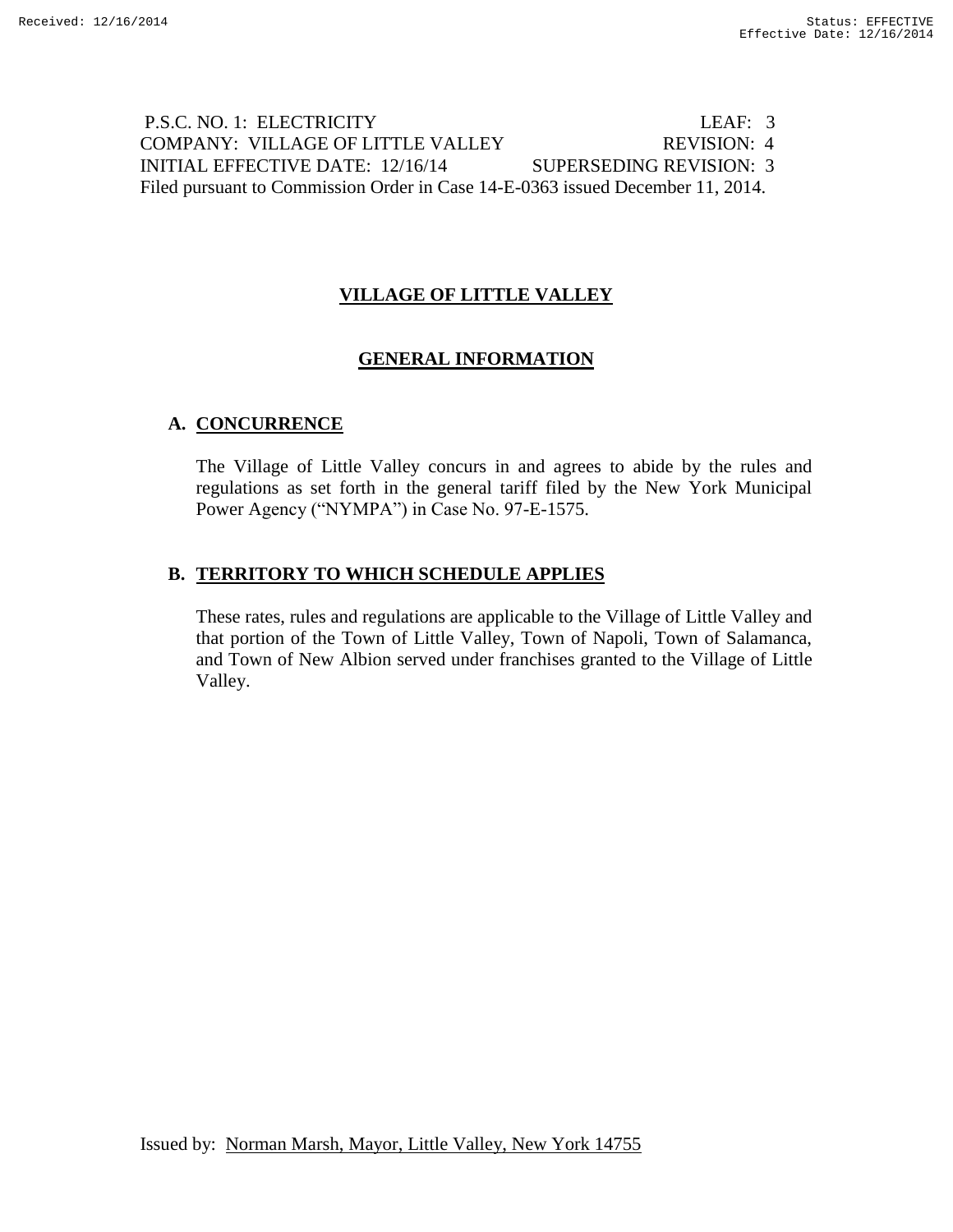# P.S.C. NO. 1: ELECTRICITY LEAF: 3 COMPANY: VILLAGE OF LITTLE VALLEY REVISION: 4 INITIAL EFFECTIVE DATE: 12/16/14 SUPERSEDING REVISION: 3 Filed pursuant to Commission Order in Case 14-E-0363 issued December 11, 2014.

# **VILLAGE OF LITTLE VALLEY**

# **GENERAL INFORMATION**

# **A. CONCURRENCE**

The Village of Little Valley concurs in and agrees to abide by the rules and regulations as set forth in the general tariff filed by the New York Municipal Power Agency ("NYMPA") in Case No. 97-E-1575.

# **B. TERRITORY TO WHICH SCHEDULE APPLIES**

These rates, rules and regulations are applicable to the Village of Little Valley and that portion of the Town of Little Valley, Town of Napoli, Town of Salamanca, and Town of New Albion served under franchises granted to the Village of Little Valley.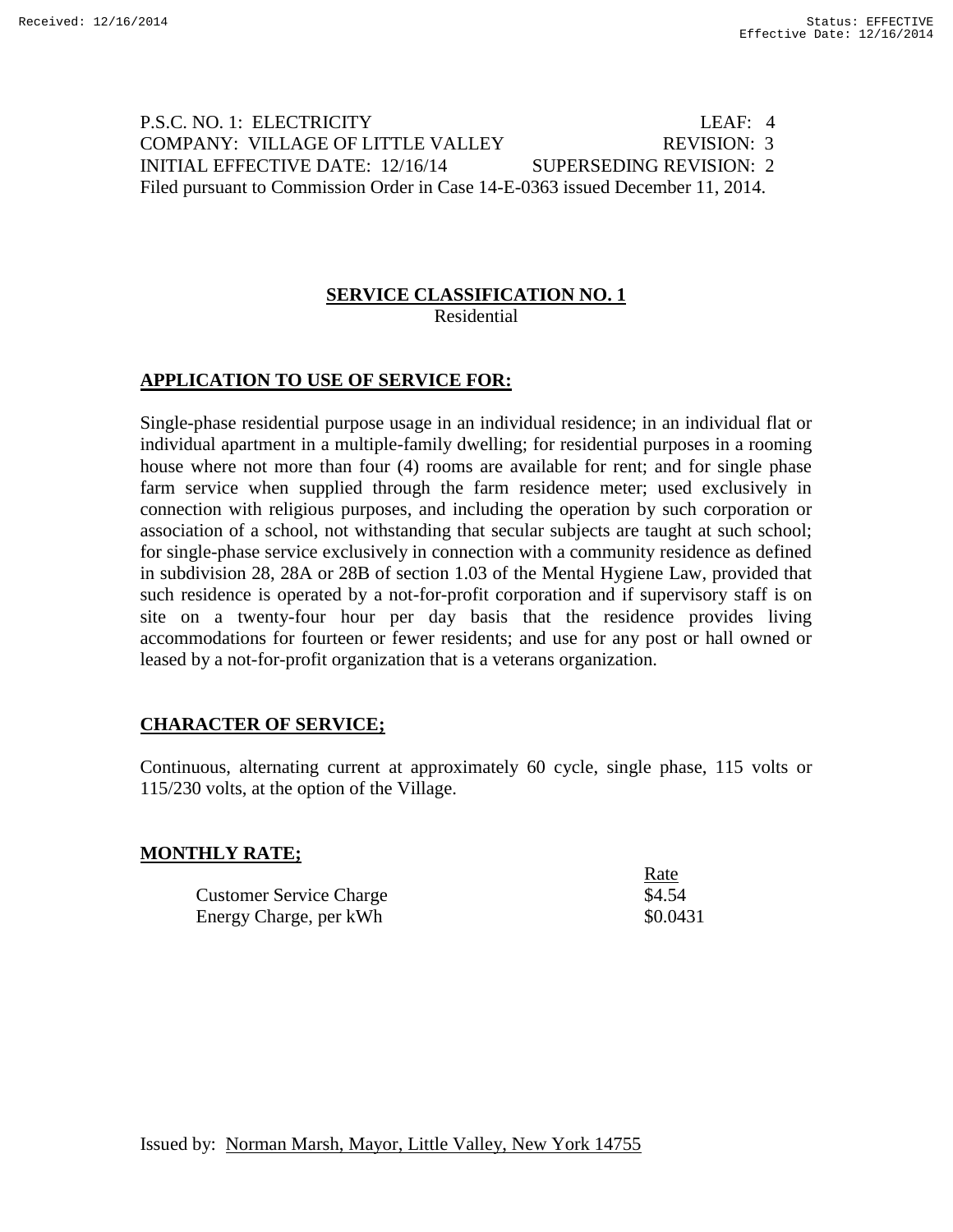# P.S.C. NO. 1: ELECTRICITY LEAF: 4 COMPANY: VILLAGE OF LITTLE VALLEY REVISION: 3 INITIAL EFFECTIVE DATE: 12/16/14 SUPERSEDING REVISION: 2 Filed pursuant to Commission Order in Case 14-E-0363 issued December 11, 2014.

#### **SERVICE CLASSIFICATION NO. 1** Residential

# **APPLICATION TO USE OF SERVICE FOR:**

Single-phase residential purpose usage in an individual residence; in an individual flat or individual apartment in a multiple-family dwelling; for residential purposes in a rooming house where not more than four (4) rooms are available for rent; and for single phase farm service when supplied through the farm residence meter; used exclusively in connection with religious purposes, and including the operation by such corporation or association of a school, not withstanding that secular subjects are taught at such school; for single-phase service exclusively in connection with a community residence as defined in subdivision 28, 28A or 28B of section 1.03 of the Mental Hygiene Law, provided that such residence is operated by a not-for-profit corporation and if supervisory staff is on site on a twenty-four hour per day basis that the residence provides living accommodations for fourteen or fewer residents; and use for any post or hall owned or leased by a not-for-profit organization that is a veterans organization.

# **CHARACTER OF SERVICE;**

Continuous, alternating current at approximately 60 cycle, single phase, 115 volts or 115/230 volts, at the option of the Village.

Rate

# **MONTHLY RATE;**

|                                | wuw      |
|--------------------------------|----------|
| <b>Customer Service Charge</b> | \$4.54   |
| Energy Charge, per kWh         | \$0.0431 |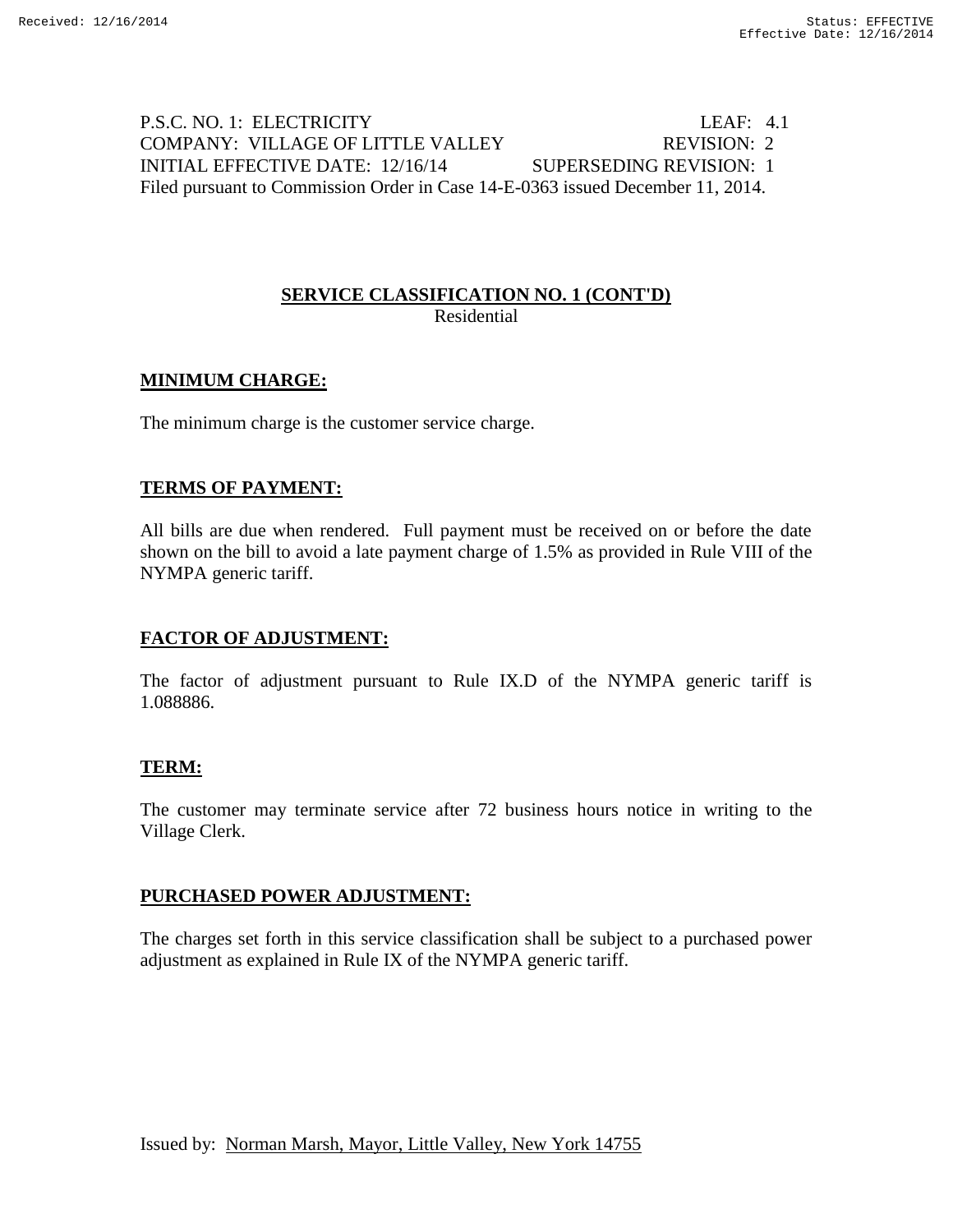# P.S.C. NO. 1: ELECTRICITY LEAF: 4.1 COMPANY: VILLAGE OF LITTLE VALLEY REVISION: 2 INITIAL EFFECTIVE DATE: 12/16/14 SUPERSEDING REVISION: 1 Filed pursuant to Commission Order in Case 14-E-0363 issued December 11, 2014.

### **SERVICE CLASSIFICATION NO. 1 (CONT'D)** Residential

# **MINIMUM CHARGE:**

The minimum charge is the customer service charge.

### **TERMS OF PAYMENT:**

All bills are due when rendered. Full payment must be received on or before the date shown on the bill to avoid a late payment charge of 1.5% as provided in Rule VIII of the NYMPA generic tariff.

### **FACTOR OF ADJUSTMENT:**

The factor of adjustment pursuant to Rule IX.D of the NYMPA generic tariff is 1.088886.

### **TERM:**

The customer may terminate service after 72 business hours notice in writing to the Village Clerk.

### **PURCHASED POWER ADJUSTMENT:**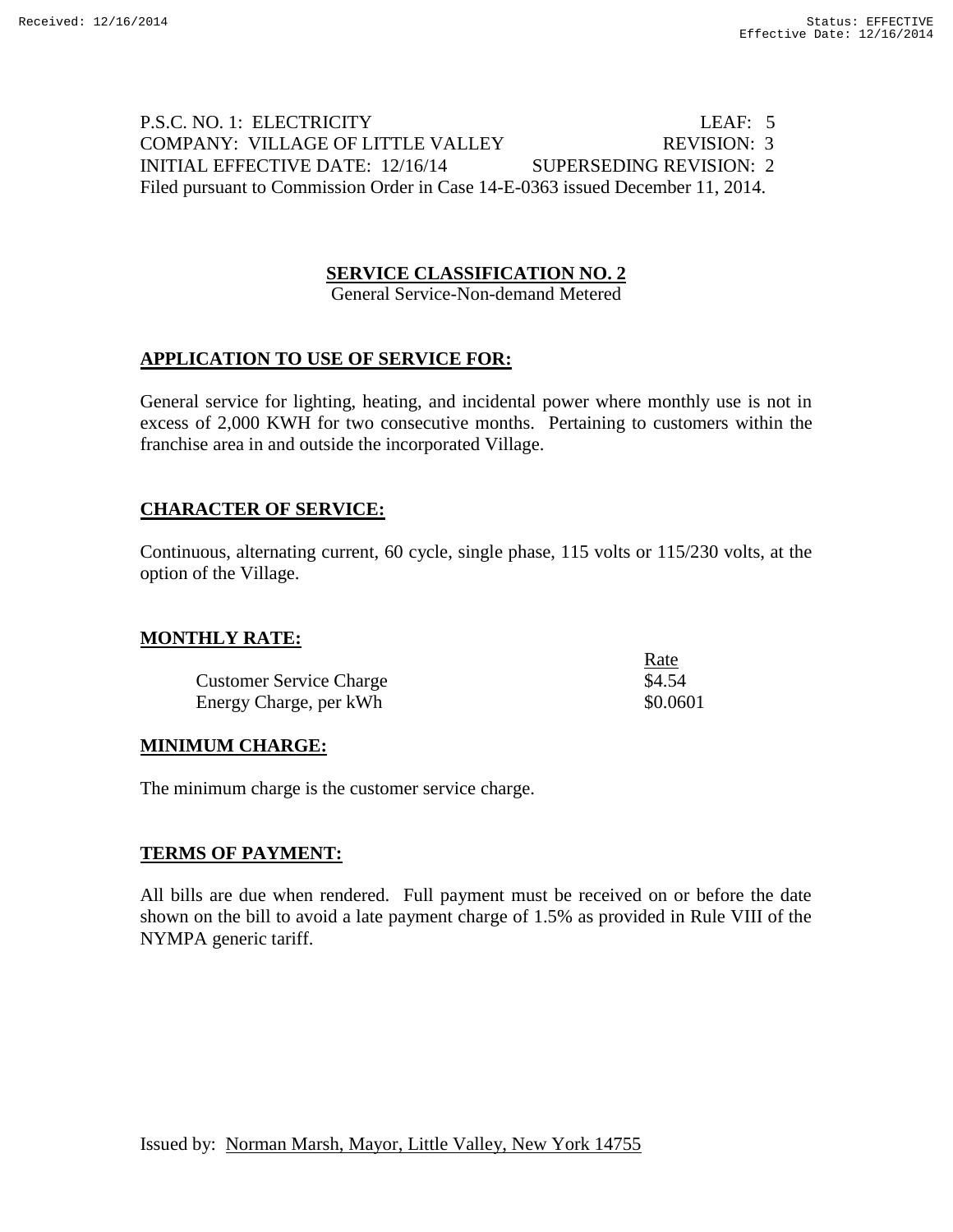# P.S.C. NO. 1: ELECTRICITY LEAF: 5 COMPANY: VILLAGE OF LITTLE VALLEY REVISION: 3 INITIAL EFFECTIVE DATE: 12/16/14 SUPERSEDING REVISION: 2 Filed pursuant to Commission Order in Case 14-E-0363 issued December 11, 2014.

### **SERVICE CLASSIFICATION NO. 2**

General Service-Non-demand Metered

### **APPLICATION TO USE OF SERVICE FOR:**

General service for lighting, heating, and incidental power where monthly use is not in excess of 2,000 KWH for two consecutive months. Pertaining to customers within the franchise area in and outside the incorporated Village.

#### **CHARACTER OF SERVICE:**

Continuous, alternating current, 60 cycle, single phase, 115 volts or 115/230 volts, at the option of the Village.

#### **MONTHLY RATE:**

|                                | Rate     |
|--------------------------------|----------|
| <b>Customer Service Charge</b> | \$4.54   |
| Energy Charge, per kWh         | \$0.0601 |

### **MINIMUM CHARGE:**

The minimum charge is the customer service charge.

### **TERMS OF PAYMENT:**

All bills are due when rendered. Full payment must be received on or before the date shown on the bill to avoid a late payment charge of 1.5% as provided in Rule VIII of the NYMPA generic tariff.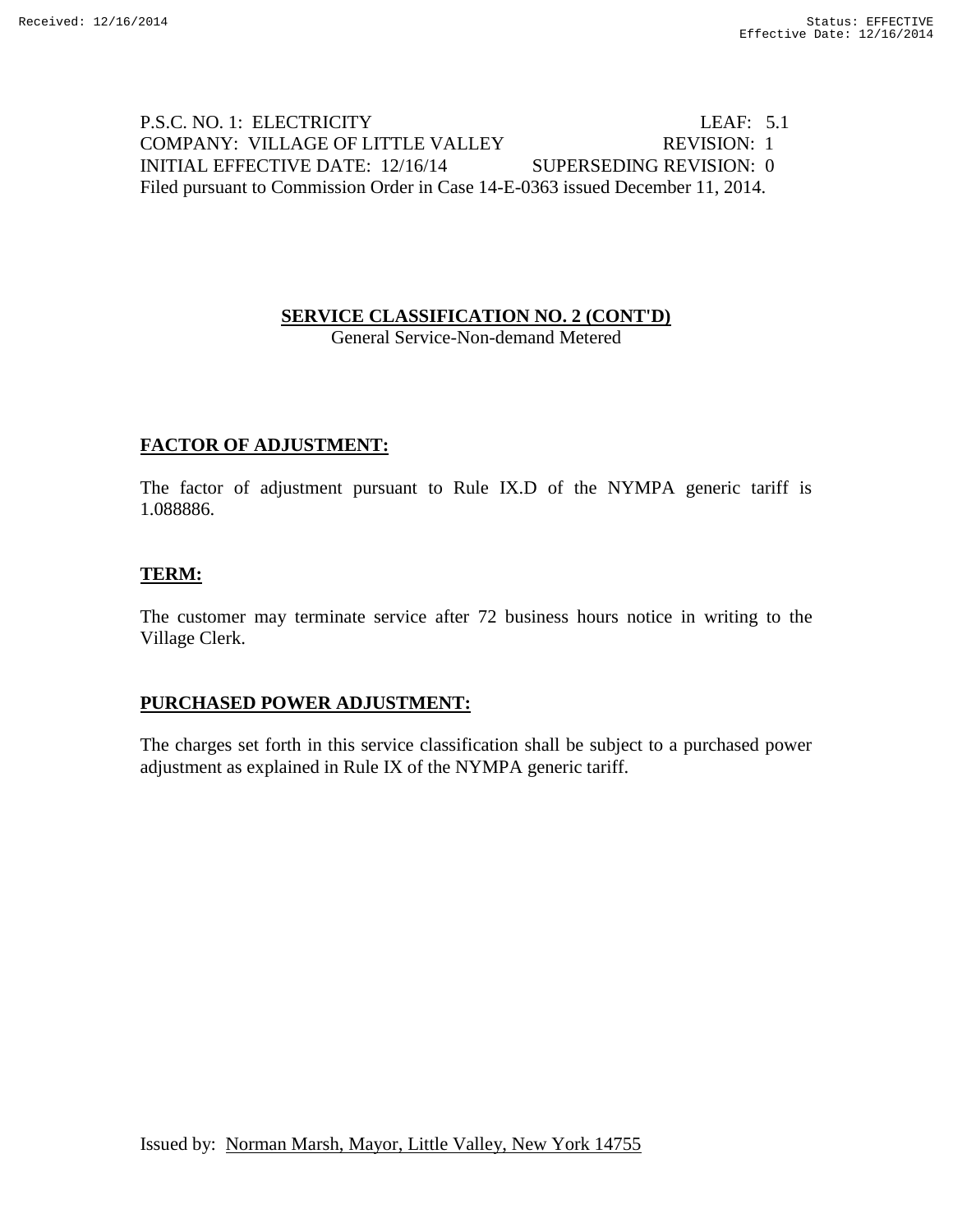# P.S.C. NO. 1: ELECTRICITY LEAF: 5.1 COMPANY: VILLAGE OF LITTLE VALLEY REVISION: 1 INITIAL EFFECTIVE DATE: 12/16/14 SUPERSEDING REVISION: 0 Filed pursuant to Commission Order in Case 14-E-0363 issued December 11, 2014.

# **SERVICE CLASSIFICATION NO. 2 (CONT'D)**

General Service-Non-demand Metered

# **FACTOR OF ADJUSTMENT:**

The factor of adjustment pursuant to Rule IX.D of the NYMPA generic tariff is 1.088886.

### **TERM:**

The customer may terminate service after 72 business hours notice in writing to the Village Clerk.

### **PURCHASED POWER ADJUSTMENT:**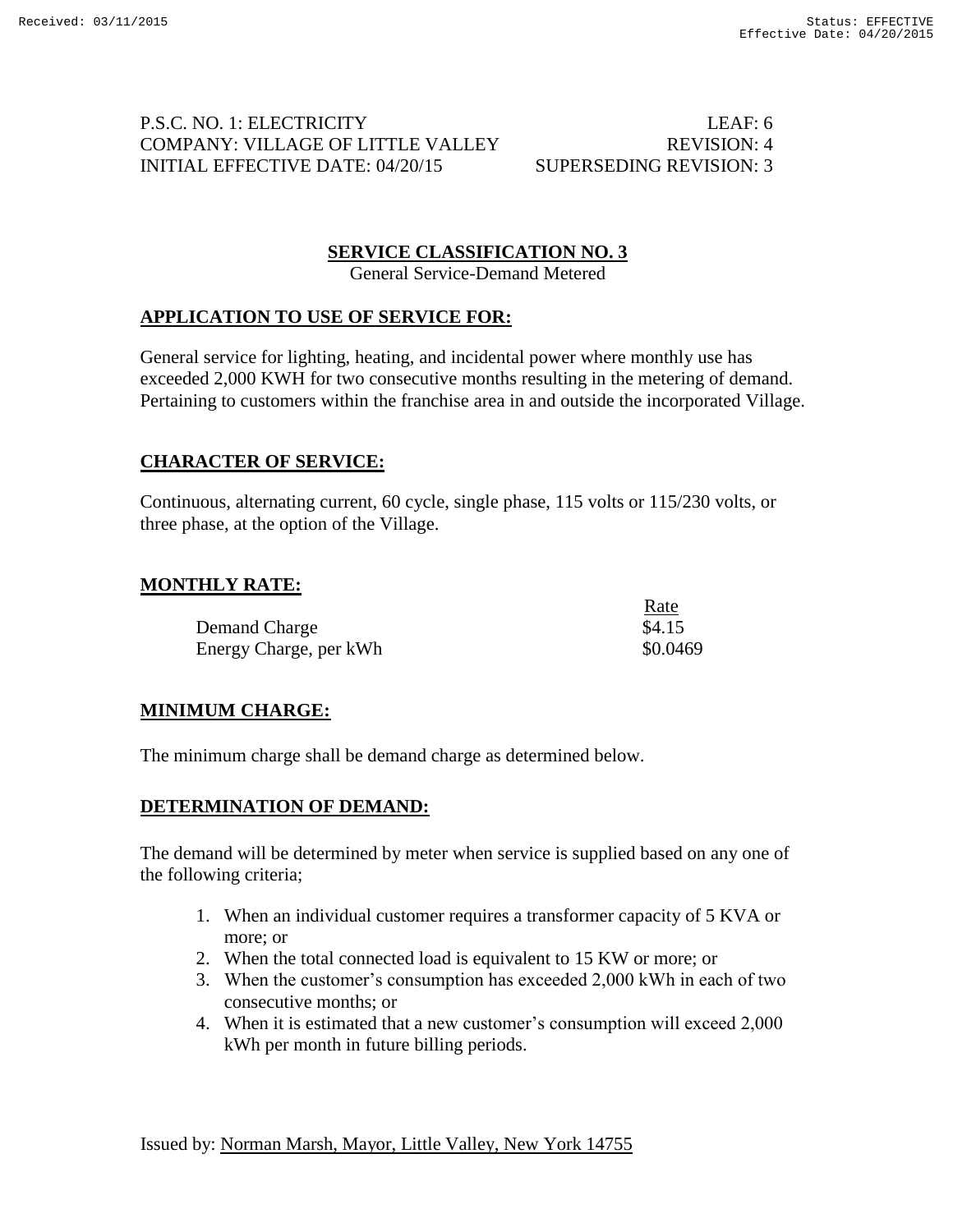# P.S.C. NO. 1: ELECTRICITY LEAF: 6 COMPANY: VILLAGE OF LITTLE VALLEY REVISION: 4 INITIAL EFFECTIVE DATE: 04/20/15 SUPERSEDING REVISION: 3

 $R_{\text{max}}$ 

# **SERVICE CLASSIFICATION NO. 3**

General Service-Demand Metered

# **APPLICATION TO USE OF SERVICE FOR:**

General service for lighting, heating, and incidental power where monthly use has exceeded 2,000 KWH for two consecutive months resulting in the metering of demand. Pertaining to customers within the franchise area in and outside the incorporated Village.

# **CHARACTER OF SERVICE:**

Continuous, alternating current, 60 cycle, single phase, 115 volts or 115/230 volts, or three phase, at the option of the Village.

# **MONTHLY RATE:**

|                        | <u>Kale</u> |
|------------------------|-------------|
| Demand Charge          | \$4.15      |
| Energy Charge, per kWh | \$0.0469    |

# **MINIMUM CHARGE:**

The minimum charge shall be demand charge as determined below.

### **DETERMINATION OF DEMAND:**

The demand will be determined by meter when service is supplied based on any one of the following criteria;

- 1. When an individual customer requires a transformer capacity of 5 KVA or more; or
- 2. When the total connected load is equivalent to 15 KW or more; or
- 3. When the customer's consumption has exceeded 2,000 kWh in each of two consecutive months; or
- 4. When it is estimated that a new customer's consumption will exceed 2,000 kWh per month in future billing periods.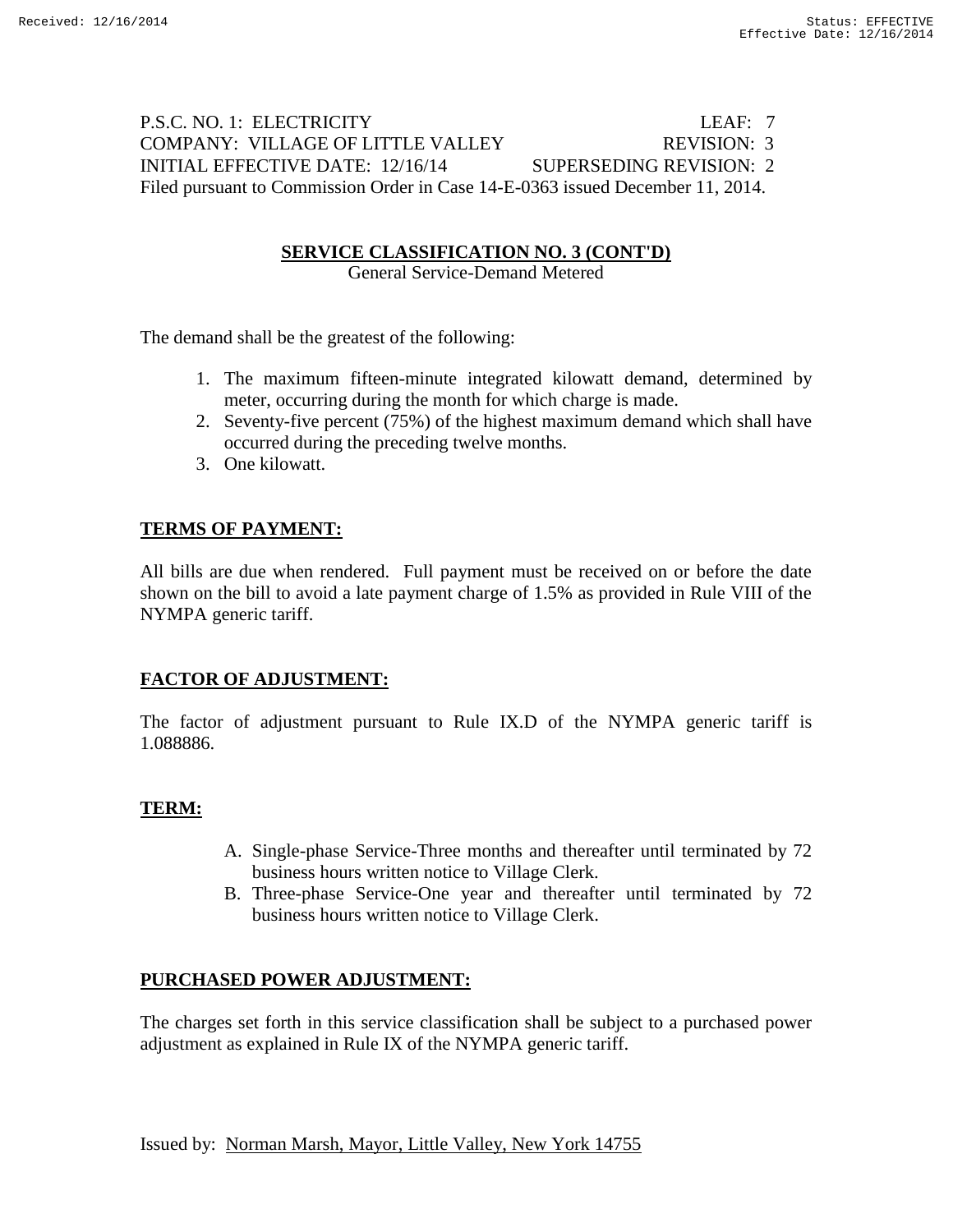# P.S.C. NO. 1: ELECTRICITY LEAF: 7 COMPANY: VILLAGE OF LITTLE VALLEY REVISION: 3 INITIAL EFFECTIVE DATE: 12/16/14 SUPERSEDING REVISION: 2 Filed pursuant to Commission Order in Case 14-E-0363 issued December 11, 2014.

# **SERVICE CLASSIFICATION NO. 3 (CONT'D)**

General Service-Demand Metered

The demand shall be the greatest of the following:

- 1. The maximum fifteen-minute integrated kilowatt demand, determined by meter, occurring during the month for which charge is made.
- 2. Seventy-five percent (75%) of the highest maximum demand which shall have occurred during the preceding twelve months.
- 3. One kilowatt.

# **TERMS OF PAYMENT:**

All bills are due when rendered. Full payment must be received on or before the date shown on the bill to avoid a late payment charge of 1.5% as provided in Rule VIII of the NYMPA generic tariff.

# **FACTOR OF ADJUSTMENT:**

The factor of adjustment pursuant to Rule IX.D of the NYMPA generic tariff is 1.088886.

# **TERM:**

- A. Single-phase Service-Three months and thereafter until terminated by 72 business hours written notice to Village Clerk.
- B. Three-phase Service-One year and thereafter until terminated by 72 business hours written notice to Village Clerk.

# **PURCHASED POWER ADJUSTMENT:**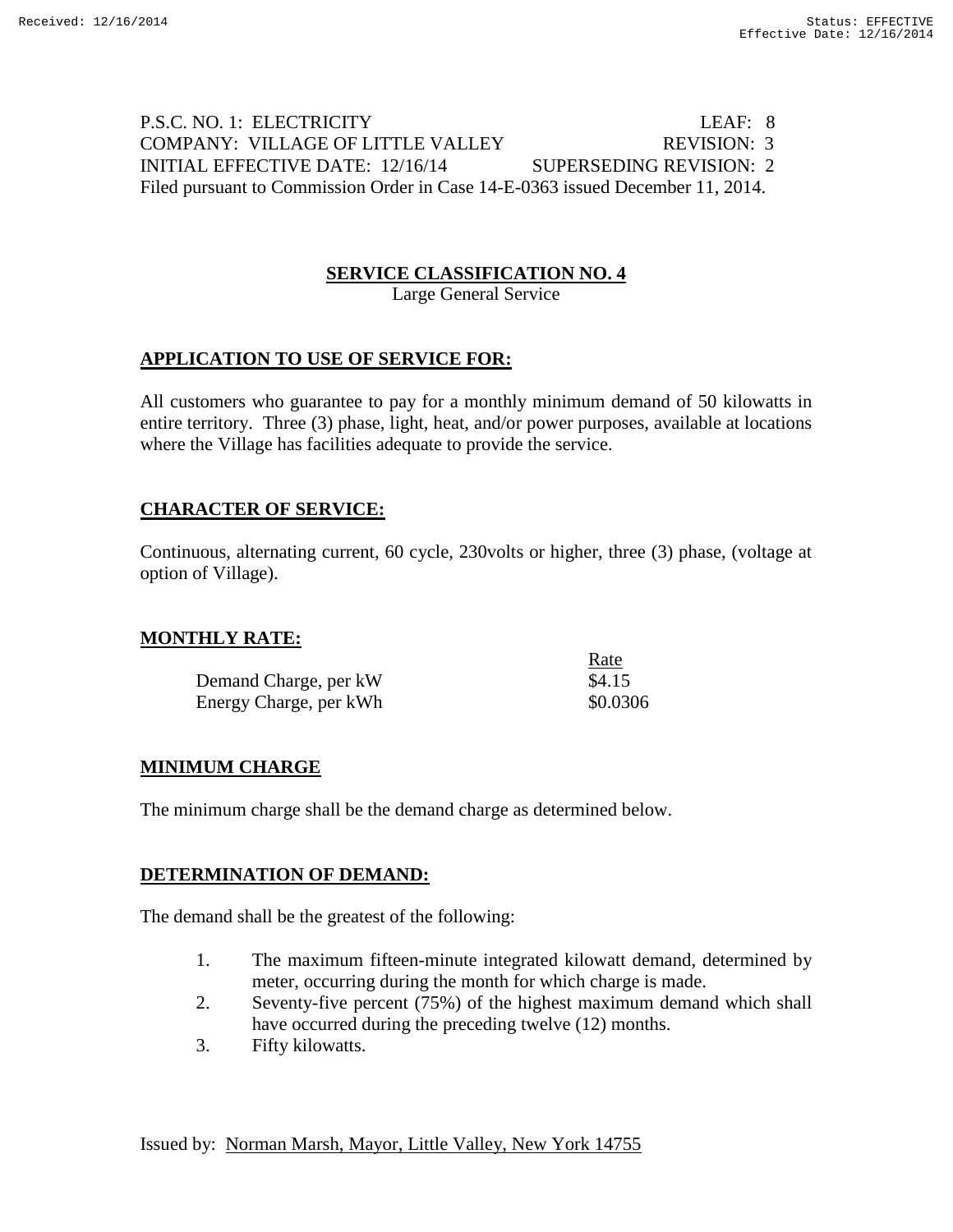# P.S.C. NO. 1: ELECTRICITY LEAF: 8 COMPANY: VILLAGE OF LITTLE VALLEY REVISION: 3 INITIAL EFFECTIVE DATE: 12/16/14 SUPERSEDING REVISION: 2 Filed pursuant to Commission Order in Case 14-E-0363 issued December 11, 2014.

# **SERVICE CLASSIFICATION NO. 4**

Large General Service

# **APPLICATION TO USE OF SERVICE FOR:**

All customers who guarantee to pay for a monthly minimum demand of 50 kilowatts in entire territory. Three (3) phase, light, heat, and/or power purposes, available at locations where the Village has facilities adequate to provide the service.

### **CHARACTER OF SERVICE:**

Continuous, alternating current, 60 cycle, 230volts or higher, three (3) phase, (voltage at option of Village).

 $D_{\text{max}}$ 

# **MONTHLY RATE:**

|                        | rale     |
|------------------------|----------|
| Demand Charge, per kW  | \$4.15   |
| Energy Charge, per kWh | \$0.0306 |

# **MINIMUM CHARGE**

The minimum charge shall be the demand charge as determined below.

### **DETERMINATION OF DEMAND:**

The demand shall be the greatest of the following:

- 1. The maximum fifteen-minute integrated kilowatt demand, determined by meter, occurring during the month for which charge is made.
- 2. Seventy-five percent (75%) of the highest maximum demand which shall have occurred during the preceding twelve (12) months.
- 3. Fifty kilowatts.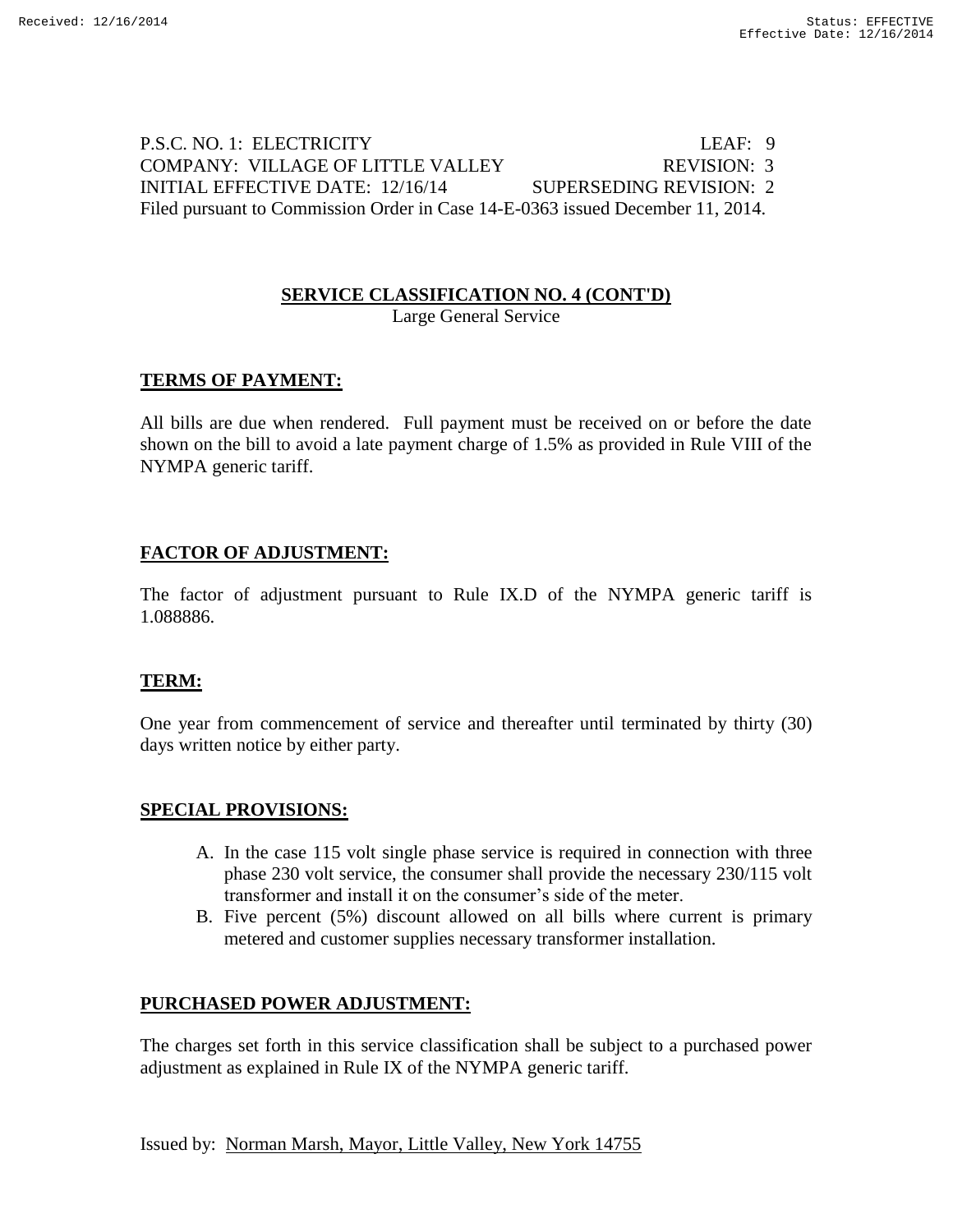P.S.C. NO. 1: ELECTRICITY LEAF: 9 COMPANY: VILLAGE OF LITTLE VALLEY REVISION: 3 INITIAL EFFECTIVE DATE: 12/16/14 SUPERSEDING REVISION: 2 Filed pursuant to Commission Order in Case 14-E-0363 issued December 11, 2014.

# **SERVICE CLASSIFICATION NO. 4 (CONT'D)**

Large General Service

### **TERMS OF PAYMENT:**

All bills are due when rendered. Full payment must be received on or before the date shown on the bill to avoid a late payment charge of 1.5% as provided in Rule VIII of the NYMPA generic tariff.

### **FACTOR OF ADJUSTMENT:**

The factor of adjustment pursuant to Rule IX.D of the NYMPA generic tariff is 1.088886.

### **TERM:**

One year from commencement of service and thereafter until terminated by thirty (30) days written notice by either party.

### **SPECIAL PROVISIONS:**

- A. In the case 115 volt single phase service is required in connection with three phase 230 volt service, the consumer shall provide the necessary 230/115 volt transformer and install it on the consumer's side of the meter.
- B. Five percent (5%) discount allowed on all bills where current is primary metered and customer supplies necessary transformer installation.

### **PURCHASED POWER ADJUSTMENT:**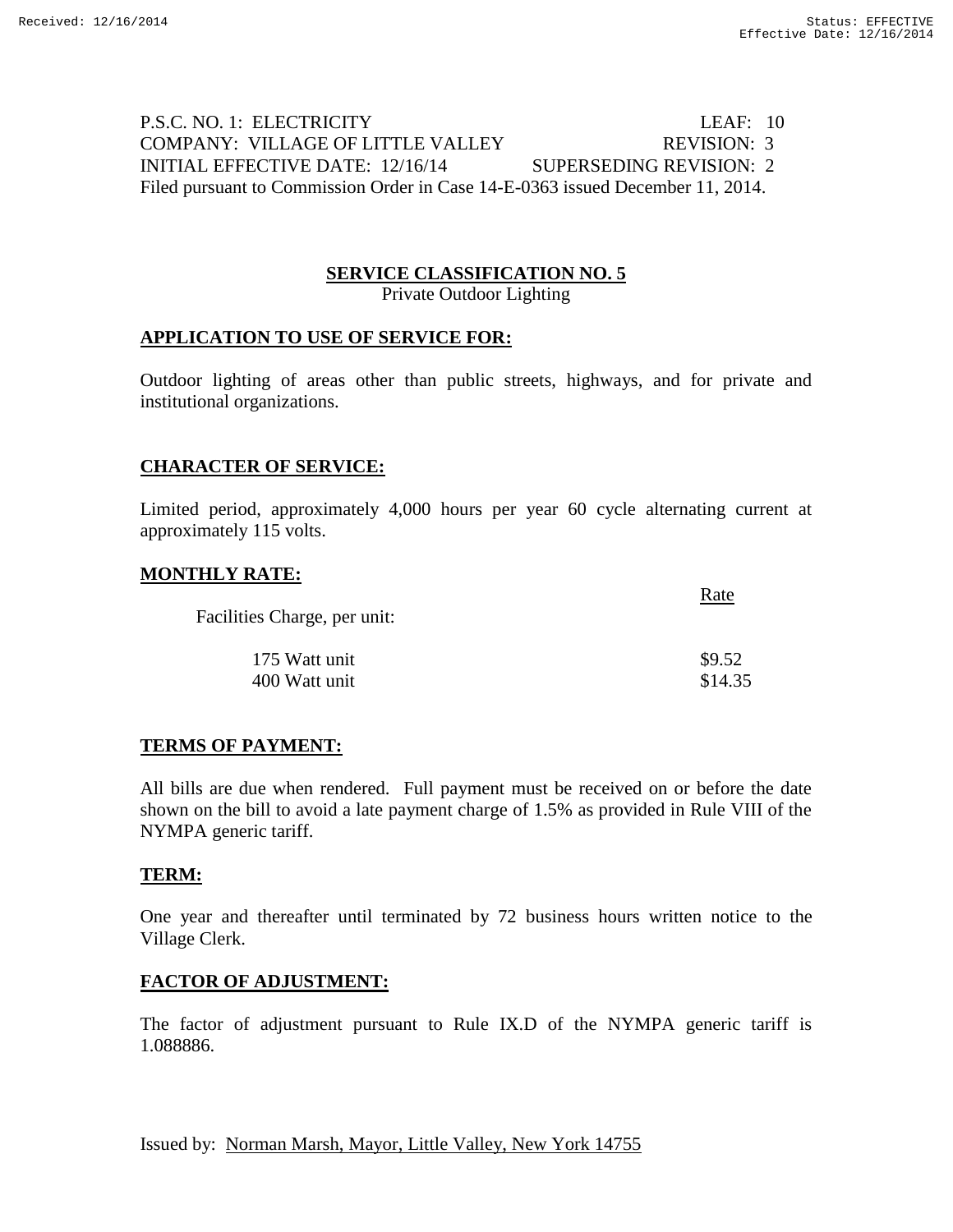$R_{\rm B}$ 

# P.S.C. NO. 1: ELECTRICITY LEAF: 10 COMPANY: VILLAGE OF LITTLE VALLEY REVISION: 3 INITIAL EFFECTIVE DATE: 12/16/14 SUPERSEDING REVISION: 2 Filed pursuant to Commission Order in Case 14-E-0363 issued December 11, 2014.

# **SERVICE CLASSIFICATION NO. 5**

Private Outdoor Lighting

#### **APPLICATION TO USE OF SERVICE FOR:**

Outdoor lighting of areas other than public streets, highways, and for private and institutional organizations.

### **CHARACTER OF SERVICE:**

Limited period, approximately 4,000 hours per year 60 cycle alternating current at approximately 115 volts.

#### **MONTHLY RATE:**

| Facilities Charge, per unit: |         |  |
|------------------------------|---------|--|
| 175 Watt unit                | \$9.52  |  |
| 400 Watt unit                | \$14.35 |  |

#### **TERMS OF PAYMENT:**

All bills are due when rendered. Full payment must be received on or before the date shown on the bill to avoid a late payment charge of 1.5% as provided in Rule VIII of the NYMPA generic tariff.

#### **TERM:**

One year and thereafter until terminated by 72 business hours written notice to the Village Clerk.

#### **FACTOR OF ADJUSTMENT:**

The factor of adjustment pursuant to Rule IX.D of the NYMPA generic tariff is 1.088886.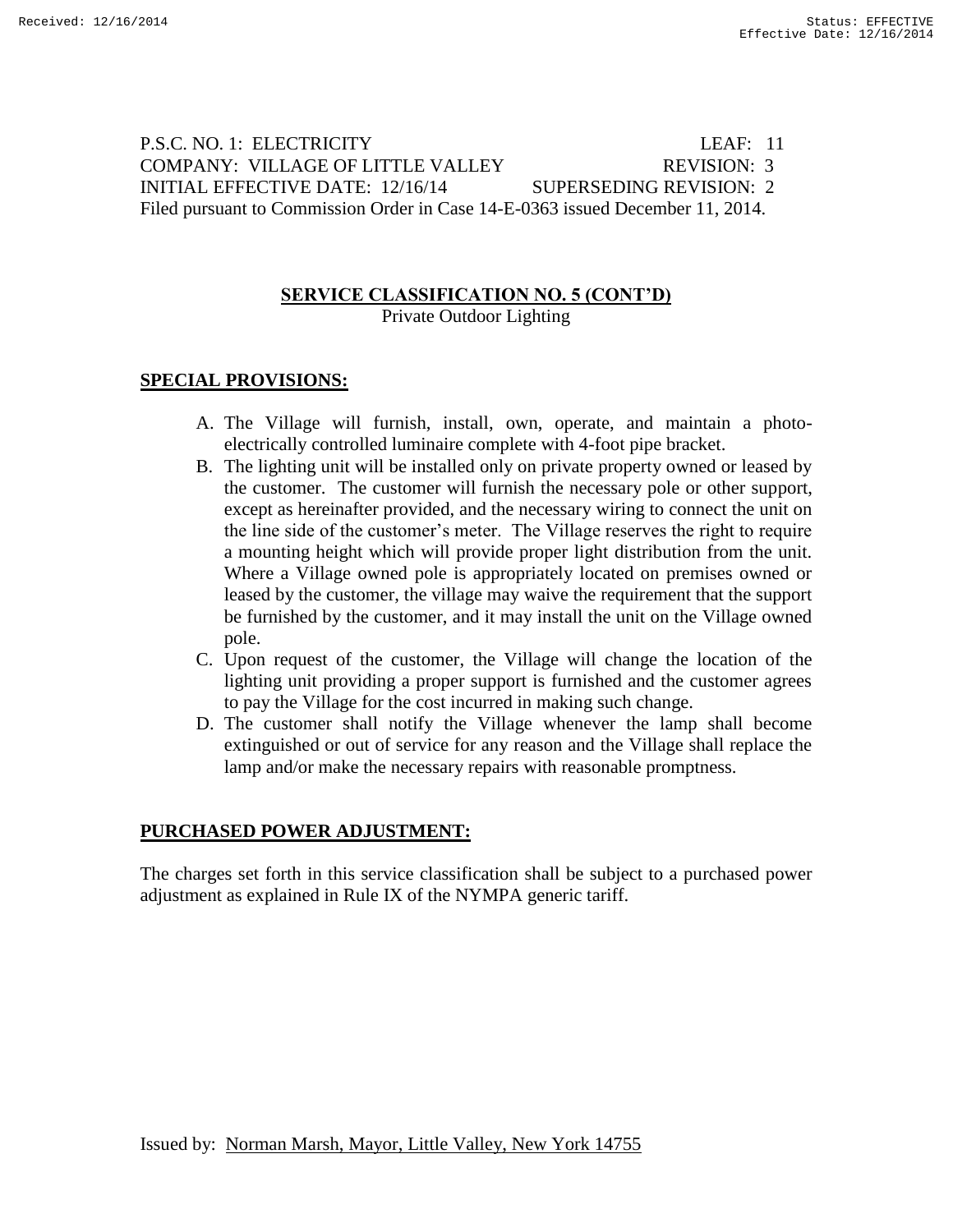P.S.C. NO. 1: ELECTRICITY LEAF: 11 COMPANY: VILLAGE OF LITTLE VALLEY REVISION: 3 INITIAL EFFECTIVE DATE: 12/16/14 SUPERSEDING REVISION: 2 Filed pursuant to Commission Order in Case 14-E-0363 issued December 11, 2014.

# **SERVICE CLASSIFICATION NO. 5 (CONT'D)**

Private Outdoor Lighting

# **SPECIAL PROVISIONS:**

- A. The Village will furnish, install, own, operate, and maintain a photoelectrically controlled luminaire complete with 4-foot pipe bracket.
- B. The lighting unit will be installed only on private property owned or leased by the customer. The customer will furnish the necessary pole or other support, except as hereinafter provided, and the necessary wiring to connect the unit on the line side of the customer's meter. The Village reserves the right to require a mounting height which will provide proper light distribution from the unit. Where a Village owned pole is appropriately located on premises owned or leased by the customer, the village may waive the requirement that the support be furnished by the customer, and it may install the unit on the Village owned pole.
- C. Upon request of the customer, the Village will change the location of the lighting unit providing a proper support is furnished and the customer agrees to pay the Village for the cost incurred in making such change.
- D. The customer shall notify the Village whenever the lamp shall become extinguished or out of service for any reason and the Village shall replace the lamp and/or make the necessary repairs with reasonable promptness.

### **PURCHASED POWER ADJUSTMENT:**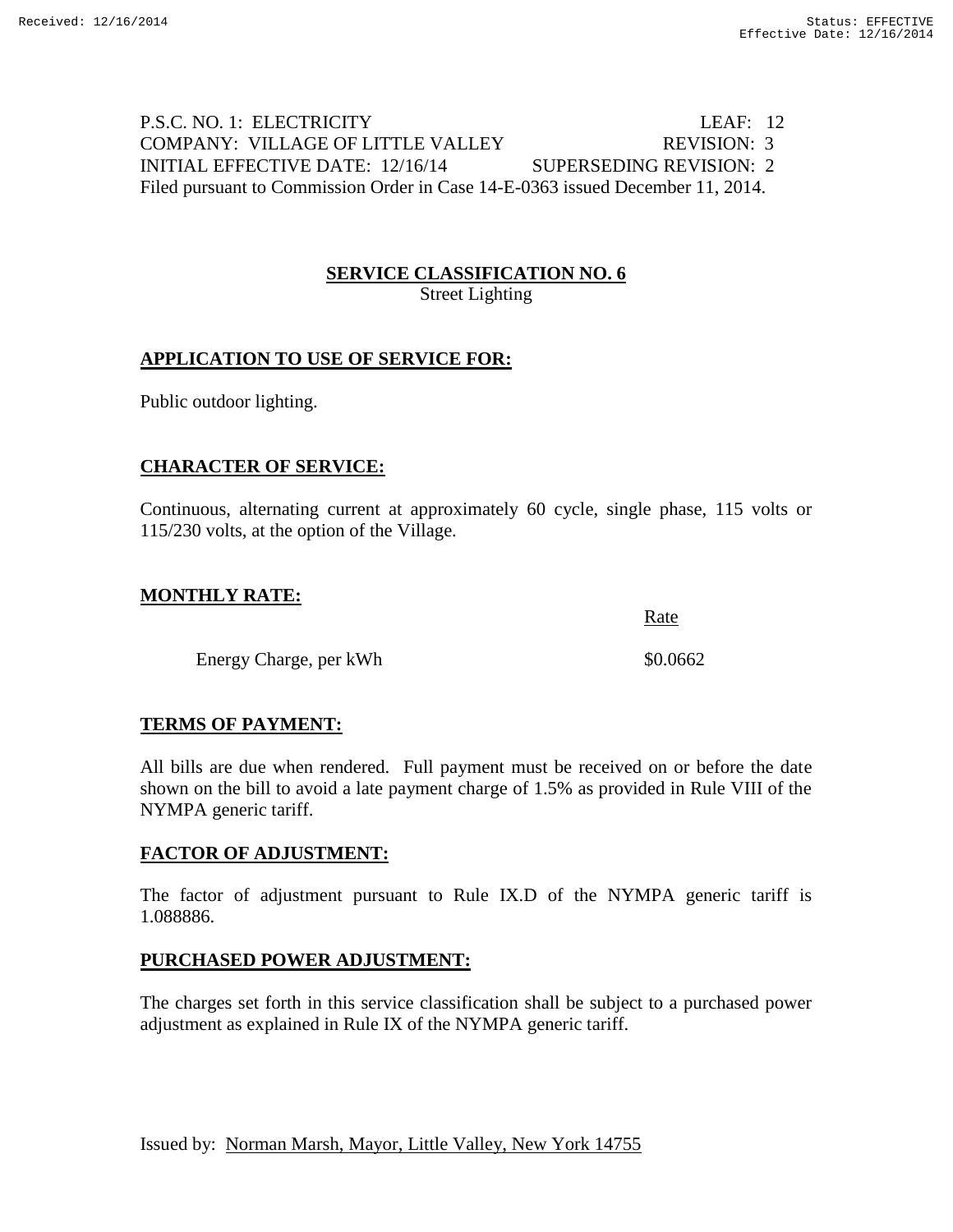# P.S.C. NO. 1: ELECTRICITY LEAF: 12 COMPANY: VILLAGE OF LITTLE VALLEY REVISION: 3 INITIAL EFFECTIVE DATE: 12/16/14 SUPERSEDING REVISION: 2 Filed pursuant to Commission Order in Case 14-E-0363 issued December 11, 2014.

#### **SERVICE CLASSIFICATION NO. 6** Street Lighting

# **APPLICATION TO USE OF SERVICE FOR:**

Public outdoor lighting.

### **CHARACTER OF SERVICE:**

Continuous, alternating current at approximately 60 cycle, single phase, 115 volts or 115/230 volts, at the option of the Village.

Rate

### **MONTHLY RATE:**

Energy Charge, per kWh  $$0.0662$ 

# **TERMS OF PAYMENT:**

All bills are due when rendered. Full payment must be received on or before the date shown on the bill to avoid a late payment charge of 1.5% as provided in Rule VIII of the NYMPA generic tariff.

### **FACTOR OF ADJUSTMENT:**

The factor of adjustment pursuant to Rule IX.D of the NYMPA generic tariff is 1.088886.

### **PURCHASED POWER ADJUSTMENT:**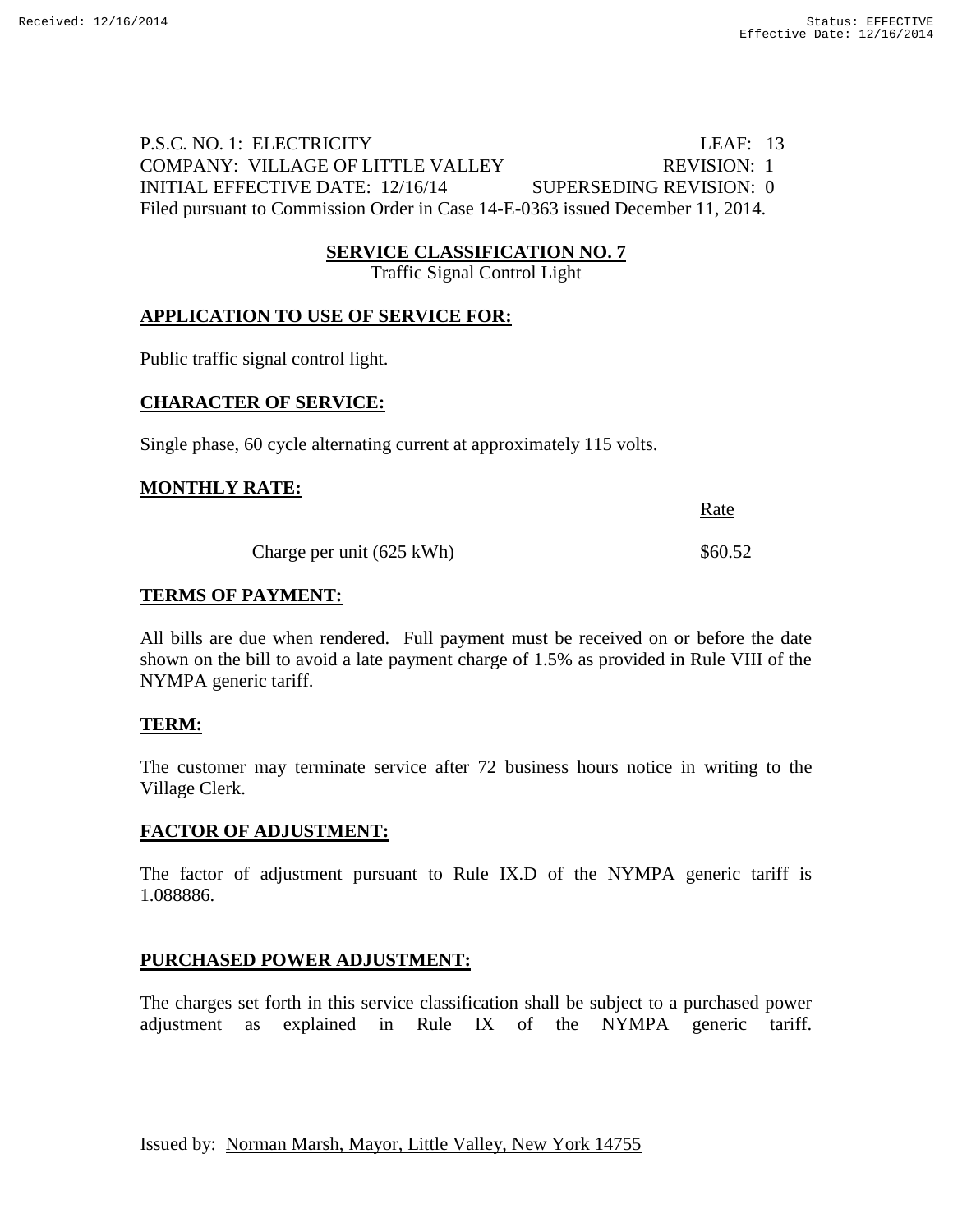P.S.C. NO. 1: ELECTRICITY LEAF: 13 COMPANY: VILLAGE OF LITTLE VALLEY REVISION: 1 INITIAL EFFECTIVE DATE: 12/16/14 SUPERSEDING REVISION: 0 Filed pursuant to Commission Order in Case 14-E-0363 issued December 11, 2014.

#### **SERVICE CLASSIFICATION NO. 7**

Traffic Signal Control Light

#### **APPLICATION TO USE OF SERVICE FOR:**

Public traffic signal control light.

#### **CHARACTER OF SERVICE:**

Single phase, 60 cycle alternating current at approximately 115 volts.

#### **MONTHLY RATE:**

Rate

Charge per unit  $(625 \text{ kWh})$  \$60.52

#### **TERMS OF PAYMENT:**

All bills are due when rendered. Full payment must be received on or before the date shown on the bill to avoid a late payment charge of 1.5% as provided in Rule VIII of the NYMPA generic tariff.

#### **TERM:**

The customer may terminate service after 72 business hours notice in writing to the Village Clerk.

#### **FACTOR OF ADJUSTMENT:**

The factor of adjustment pursuant to Rule IX.D of the NYMPA generic tariff is 1.088886.

### **PURCHASED POWER ADJUSTMENT:**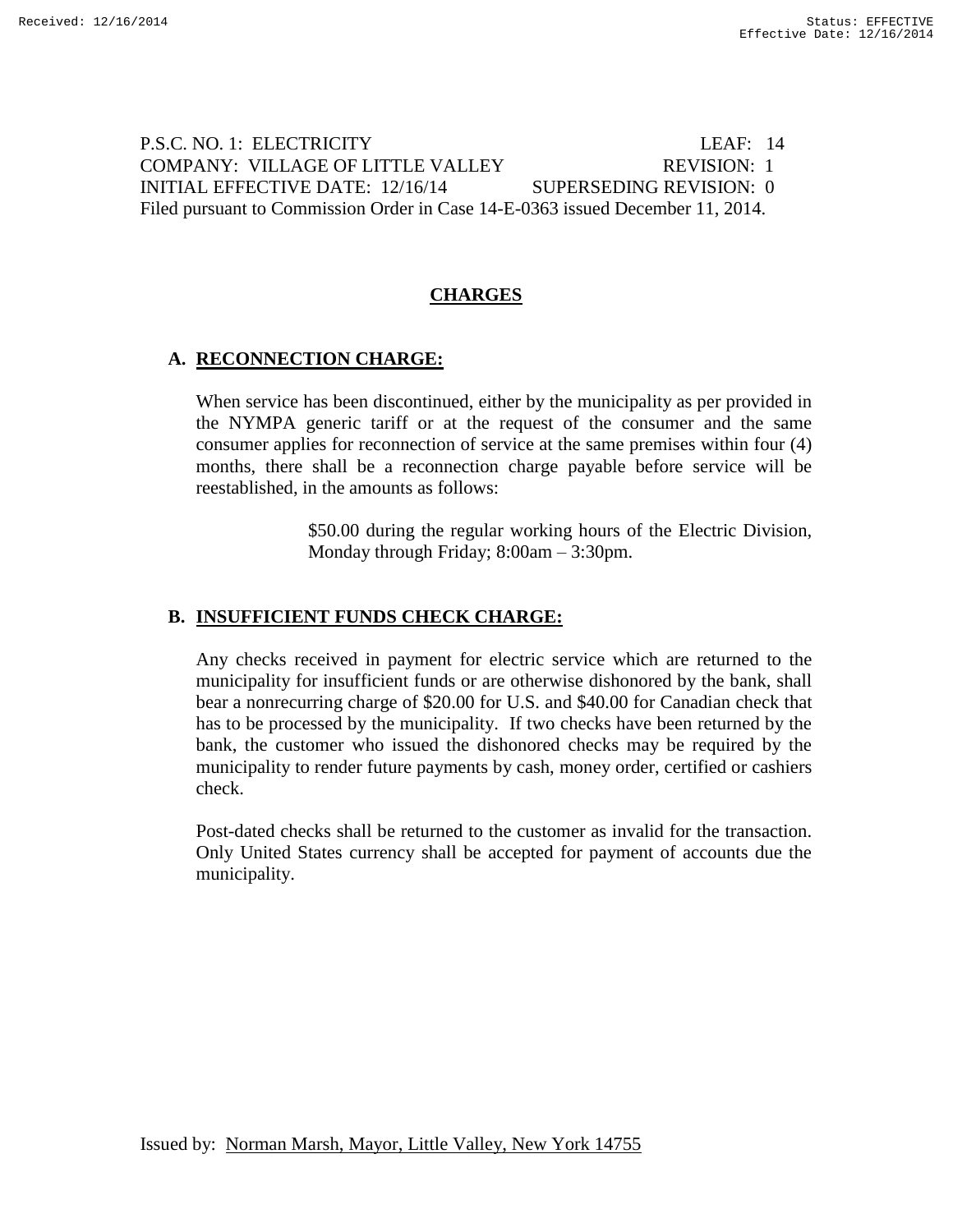P.S.C. NO. 1: ELECTRICITY LEAF: 14 COMPANY: VILLAGE OF LITTLE VALLEY REVISION: 1 INITIAL EFFECTIVE DATE: 12/16/14 SUPERSEDING REVISION: 0 Filed pursuant to Commission Order in Case 14-E-0363 issued December 11, 2014.

### **CHARGES**

#### **A. RECONNECTION CHARGE:**

When service has been discontinued, either by the municipality as per provided in the NYMPA generic tariff or at the request of the consumer and the same consumer applies for reconnection of service at the same premises within four (4) months, there shall be a reconnection charge payable before service will be reestablished, in the amounts as follows:

> \$50.00 during the regular working hours of the Electric Division, Monday through Friday; 8:00am – 3:30pm.

#### **B. INSUFFICIENT FUNDS CHECK CHARGE:**

Any checks received in payment for electric service which are returned to the municipality for insufficient funds or are otherwise dishonored by the bank, shall bear a nonrecurring charge of \$20.00 for U.S. and \$40.00 for Canadian check that has to be processed by the municipality. If two checks have been returned by the bank, the customer who issued the dishonored checks may be required by the municipality to render future payments by cash, money order, certified or cashiers check.

Post-dated checks shall be returned to the customer as invalid for the transaction. Only United States currency shall be accepted for payment of accounts due the municipality.